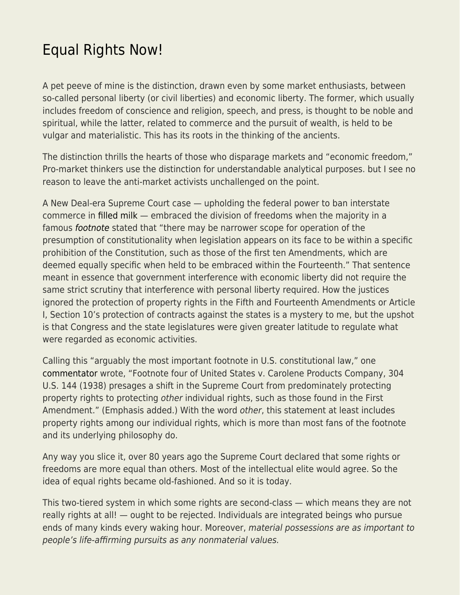## [Equal Rights Now!](https://everything-voluntary.com/equal-rights-now)

A pet peeve of mine is the distinction, drawn even by some market enthusiasts, between so-called personal liberty (or civil liberties) and economic liberty. The former, which usually includes freedom of conscience and religion, speech, and press, is thought to be noble and spiritual, while the latter, related to commerce and the pursuit of wealth, is held to be vulgar and materialistic. This has its roots in the thinking of the ancients.

The distinction thrills the hearts of those who disparage markets and "economic freedom," Pro-market thinkers use the distinction for understandable analytical purposes. but I see no reason to leave the anti-market activists unchallenged on the point.

A New Deal-era Supreme Court case — upholding the federal power to ban interstate commerce in [filled milk](https://en.wikipedia.org/wiki/Filled_milk) — embraced the division of freedoms when the majority in a famous [footnote](https://www.law.cornell.edu/supremecourt/text/304/144#fn4) stated that "there may be narrower scope for operation of the presumption of constitutionality when legislation appears on its face to be within a specific prohibition of the Constitution, such as those of the first ten Amendments, which are deemed equally specific when held to be embraced within the Fourteenth." That sentence meant in essence that government interference with economic liberty did not require the same strict scrutiny that interference with personal liberty required. How the justices ignored the protection of property rights in the Fifth and Fourteenth Amendments or Article I, Section 10's protection of contracts against the states is a mystery to me, but the upshot is that Congress and the state legislatures were given greater latitude to regulate what were regarded as economic activities.

Calling this "arguably the most important footnote in U.S. constitutional law," one [commentator](https://www.mtsu.edu/first-amendment/article/5/carolene-products-footnote-four#:~:text=Footnote%20four%20of%20United%20States,footnote%20in%20U.S.%20constitutional%20law.) wrote, "Footnote four of United States v. Carolene Products Company, 304 U.S. 144 (1938) presages a shift in the Supreme Court from predominately protecting property rights to protecting other individual rights, such as those found in the First Amendment." (Emphasis added.) With the word other, this statement at least includes property rights among our individual rights, which is more than most fans of the footnote and its underlying philosophy do.

Any way you slice it, over 80 years ago the Supreme Court declared that some rights or freedoms are more equal than others. Most of the intellectual elite would agree. So the idea of equal rights became old-fashioned. And so it is today.

This two-tiered system in which some rights are second-class — which means they are not really rights at all! — ought to be rejected. Individuals are integrated beings who pursue ends of many kinds every waking hour. Moreover, material possessions are as important to people's life-affirming pursuits as any nonmaterial values.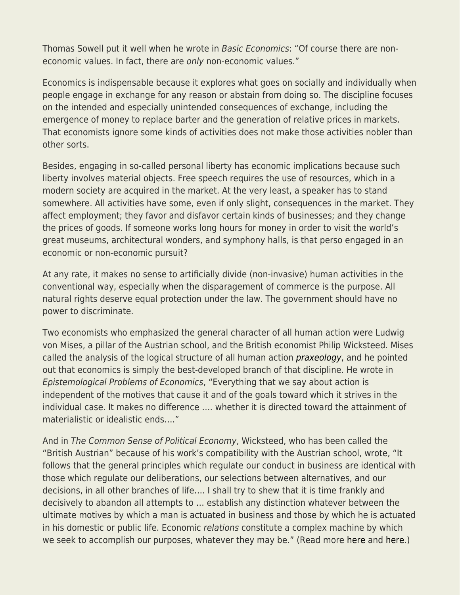Thomas Sowell put it well when he wrote in Basic Economics: "Of course there are noneconomic values. In fact, there are only non-economic values."

Economics is indispensable because it explores what goes on socially and individually when people engage in exchange for any reason or abstain from doing so. The discipline focuses on the intended and especially unintended consequences of exchange, including the emergence of money to replace barter and the generation of relative prices in markets. That economists ignore some kinds of activities does not make those activities nobler than other sorts.

Besides, engaging in so-called personal liberty has economic implications because such liberty involves material objects. Free speech requires the use of resources, which in a modern society are acquired in the market. At the very least, a speaker has to stand somewhere. All activities have some, even if only slight, consequences in the market. They affect employment; they favor and disfavor certain kinds of businesses; and they change the prices of goods. If someone works long hours for money in order to visit the world's great museums, architectural wonders, and symphony halls, is that perso engaged in an economic or non-economic pursuit?

At any rate, it makes no sense to artificially divide (non-invasive) human activities in the conventional way, especially when the disparagement of commerce is the purpose. All natural rights deserve equal protection under the law. The government should have no power to discriminate.

Two economists who emphasized the general character of all human action were Ludwig von Mises, a pillar of the Austrian school, and the British economist Philip Wicksteed. Mises called the analysis of the logical structure of all human action [praxeology](https://praxeology.net/praxwho-x.pdf), and he pointed out that economics is simply the best-developed branch of that discipline. He wrote in Epistemological Problems of Economics, "Everything that we say about action is independent of the motives that cause it and of the goals toward which it strives in the individual case. It makes no difference …. whether it is directed toward the attainment of materialistic or idealistic ends…."

And in The Common Sense of Political Economy, Wicksteed, who has been called the "British Austrian" because of his work's compatibility with the Austrian school, wrote, "It follows that the general principles which regulate our conduct in business are identical with those which regulate our deliberations, our selections between alternatives, and our decisions, in all other branches of life…. I shall try to shew that it is time frankly and decisively to abandon all attempts to … establish any distinction whatever between the ultimate motives by which a man is actuated in business and those by which he is actuated in his domestic or public life. Economic relations constitute a complex machine by which we seek to accomplish our purposes, whatever they may be." (Read more [here](https://fee.org/articles/philip-wicksteed-on-the-scope-of-economics/) and [here](https://fee.org/articles/the-ubiquity-of-economic-phenomena/).)